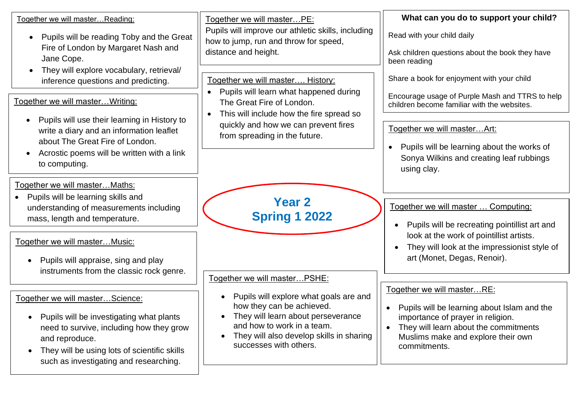| Together we will master Reading:                                                                    | Together we will masterPE:                                                                  | What can you do to support your child?                                                         |
|-----------------------------------------------------------------------------------------------------|---------------------------------------------------------------------------------------------|------------------------------------------------------------------------------------------------|
| Pupils will be reading Toby and the Great<br>$\bullet$<br>Fire of London by Margaret Nash and       | Pupils will improve our athletic skills, including<br>how to jump, run and throw for speed, | Read with your child daily                                                                     |
| Jane Cope.                                                                                          | distance and height.                                                                        | Ask children questions about the book they have<br>been reading                                |
| They will explore vocabulary, retrieval/<br>$\bullet$<br>inference questions and predicting.        | Together we will master History:                                                            | Share a book for enjoyment with your child                                                     |
| Together we will master Writing:                                                                    | Pupils will learn what happened during<br>$\bullet$<br>The Great Fire of London.            | Encourage usage of Purple Mash and TTRS to help<br>children become familiar with the websites. |
| Pupils will use their learning in History to                                                        | This will include how the fire spread so<br>$\bullet$                                       |                                                                                                |
| write a diary and an information leaflet<br>about The Great Fire of London.                         | quickly and how we can prevent fires<br>from spreading in the future.                       | Together we will masterArt:                                                                    |
| Acrostic poems will be written with a link                                                          |                                                                                             | Pupils will be learning about the works of                                                     |
| to computing.                                                                                       |                                                                                             | Sonya Wilkins and creating leaf rubbings<br>using clay.                                        |
| Together we will master Maths:                                                                      |                                                                                             |                                                                                                |
| Pupils will be learning skills and                                                                  | <b>Year 2</b>                                                                               |                                                                                                |
| understanding of measurements including                                                             | <b>Spring 1 2022</b>                                                                        | Together we will master  Computing:                                                            |
| mass, length and temperature.                                                                       |                                                                                             | Pupils will be recreating pointillist art and                                                  |
| Together we will masterMusic:                                                                       |                                                                                             | look at the work of pointillist artists.                                                       |
|                                                                                                     |                                                                                             | They will look at the impressionist style of                                                   |
| Pupils will appraise, sing and play                                                                 |                                                                                             | art (Monet, Degas, Renoir).                                                                    |
| instruments from the classic rock genre.                                                            | Together we will masterPSHE:                                                                |                                                                                                |
|                                                                                                     |                                                                                             | Together we will masterRE:                                                                     |
| Together we will masterScience:                                                                     | Pupils will explore what goals are and<br>$\bullet$<br>how they can be achieved.            | Pupils will be learning about Islam and the<br>$\bullet$                                       |
| Pupils will be investigating what plants<br>$\bullet$                                               | They will learn about perseverance                                                          | importance of prayer in religion.                                                              |
| need to survive, including how they grow                                                            | and how to work in a team.<br>They will also develop skills in sharing<br>$\bullet$         | They will learn about the commitments<br>$\bullet$                                             |
| and reproduce.                                                                                      | successes with others.                                                                      | Muslims make and explore their own<br>commitments.                                             |
| They will be using lots of scientific skills<br>$\bullet$<br>such as investigating and researching. |                                                                                             |                                                                                                |
|                                                                                                     |                                                                                             |                                                                                                |